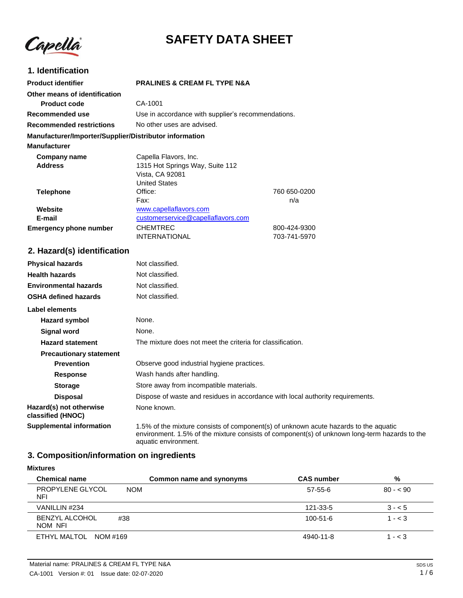Capellà

# **SAFETY DATA SHEET**

## **1. Identification**

| <b>Product identifier</b>                              | <b>PRALINES &amp; CREAM FL TYPE N&amp;A</b> |                                                    |  |
|--------------------------------------------------------|---------------------------------------------|----------------------------------------------------|--|
| Other means of identification                          |                                             |                                                    |  |
| Product code                                           | CA-1001                                     |                                                    |  |
| Recommended use                                        |                                             | Use in accordance with supplier's recommendations. |  |
| <b>Recommended restrictions</b>                        | No other uses are advised.                  |                                                    |  |
| Manufacturer/Importer/Supplier/Distributor information |                                             |                                                    |  |
| <b>Manufacturer</b>                                    |                                             |                                                    |  |
| Company name                                           | Capella Flavors, Inc.                       |                                                    |  |
| <b>Address</b>                                         | 1315 Hot Springs Way, Suite 112             |                                                    |  |
|                                                        | Vista, CA 92081                             |                                                    |  |
|                                                        | <b>United States</b>                        |                                                    |  |
| <b>Telephone</b>                                       | Office:                                     | 760 650-0200                                       |  |
|                                                        | Fax:                                        | n/a                                                |  |
| Website                                                | www.capellaflavors.com                      |                                                    |  |
| E-mail                                                 | customerservice@capellaflavors.com          |                                                    |  |
| <b>Emergency phone number</b>                          | <b>CHEMTREC</b>                             | 800-424-9300                                       |  |
|                                                        | <b>INTERNATIONAL</b>                        | 703-741-5970                                       |  |

aquatic environment.

# **2. Hazard(s) identification**

| <b>Physical hazards</b>                      | Not classified.                                                                                                                                                                       |  |
|----------------------------------------------|---------------------------------------------------------------------------------------------------------------------------------------------------------------------------------------|--|
| <b>Health hazards</b>                        | Not classified.                                                                                                                                                                       |  |
| <b>Environmental hazards</b>                 | Not classified.                                                                                                                                                                       |  |
| <b>OSHA defined hazards</b>                  | Not classified.                                                                                                                                                                       |  |
| Label elements                               |                                                                                                                                                                                       |  |
| Hazard symbol                                | None.                                                                                                                                                                                 |  |
| <b>Signal word</b>                           | None.                                                                                                                                                                                 |  |
| <b>Hazard statement</b>                      | The mixture does not meet the criteria for classification.                                                                                                                            |  |
| <b>Precautionary statement</b>               |                                                                                                                                                                                       |  |
| <b>Prevention</b>                            | Observe good industrial hygiene practices.                                                                                                                                            |  |
| Response                                     | Wash hands after handling.                                                                                                                                                            |  |
| <b>Storage</b>                               | Store away from incompatible materials.                                                                                                                                               |  |
| <b>Disposal</b>                              | Dispose of waste and residues in accordance with local authority requirements.                                                                                                        |  |
| Hazard(s) not otherwise<br>classified (HNOC) | None known.                                                                                                                                                                           |  |
| <b>Supplemental information</b>              | 1.5% of the mixture consists of component(s) of unknown acute hazards to the aquatic<br>environment. 1.5% of the mixture consists of component(s) of unknown long-term hazards to the |  |

# **3. Composition/information on ingredients**

**Mixtures**

| <b>Chemical name</b>             |            | Common name and synonyms | <b>CAS number</b> | %         |
|----------------------------------|------------|--------------------------|-------------------|-----------|
| PROPYLENE GLYCOL<br><b>NFI</b>   | <b>NOM</b> |                          | $57-55-6$         | $80 - 90$ |
| VANILLIN #234                    |            |                          | 121-33-5          | $3 - 5$   |
| <b>BENZYL ALCOHOL</b><br>NOM NFI | #38        |                          | 100-51-6          | $1 - < 3$ |
| ETHYL MALTOL NOM #169            |            |                          | 4940-11-8         | $1 - < 3$ |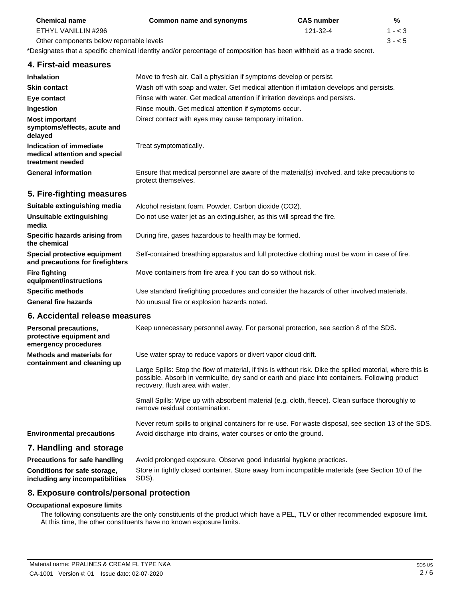| <b>Chemical name</b>                                                         | Common name and synonyms                                                                                            | <b>CAS number</b> | $\frac{0}{0}$ |
|------------------------------------------------------------------------------|---------------------------------------------------------------------------------------------------------------------|-------------------|---------------|
| ETHYL VANILLIN #296                                                          |                                                                                                                     | 121-32-4          | $1 - < 3$     |
| Other components below reportable levels                                     |                                                                                                                     |                   | $3 - 5$       |
|                                                                              | *Designates that a specific chemical identity and/or percentage of composition has been withheld as a trade secret. |                   |               |
| 4. First-aid measures                                                        |                                                                                                                     |                   |               |
| <b>Inhalation</b>                                                            | Move to fresh air. Call a physician if symptoms develop or persist.                                                 |                   |               |
| <b>Skin contact</b>                                                          | Wash off with soap and water. Get medical attention if irritation develops and persists.                            |                   |               |
| Eye contact                                                                  | Rinse with water. Get medical attention if irritation develops and persists.                                        |                   |               |
| Ingestion                                                                    | Rinse mouth. Get medical attention if symptoms occur.                                                               |                   |               |
| <b>Most important</b><br>symptoms/effects, acute and<br>delayed              | Direct contact with eyes may cause temporary irritation.                                                            |                   |               |
| Indication of immediate<br>medical attention and special<br>treatment needed | Treat symptomatically.                                                                                              |                   |               |
| <b>General information</b>                                                   | Ensure that medical personnel are aware of the material(s) involved, and take precautions to<br>protect themselves. |                   |               |
| 5. Fire-fighting measures                                                    |                                                                                                                     |                   |               |
| Suitable extinguishing media                                                 | Alcohol resistant foam. Powder. Carbon dioxide (CO2).                                                               |                   |               |
| Unsuitable extinguishing<br>media                                            | Do not use water jet as an extinguisher, as this will spread the fire.                                              |                   |               |
| Specific hazards arising from<br>the chemical                                | During fire, gases hazardous to health may be formed.                                                               |                   |               |
| Special protective equipment<br>and precautions for firefighters             | Self-contained breathing apparatus and full protective clothing must be worn in case of fire.                       |                   |               |
| <b>Fire fighting</b>                                                         | Move containers from fire area if you can do so without risk.                                                       |                   |               |

Move containers from fire area if you can do so without risk.

Use standard firefighting procedures and consider the hazards of other involved materials. No unusual fire or explosion hazards noted.

## **6. Accidental release measures**

**equipment/instructions Specific methods General fire hazards**

| Personal precautions,<br>protective equipment and<br>emergency procedures | Keep unnecessary personnel away. For personal protection, see section 8 of the SDS.                                                                                                                                                                                                                                |
|---------------------------------------------------------------------------|--------------------------------------------------------------------------------------------------------------------------------------------------------------------------------------------------------------------------------------------------------------------------------------------------------------------|
| Methods and materials for<br>containment and cleaning up                  | Use water spray to reduce vapors or divert vapor cloud drift.<br>Large Spills: Stop the flow of material, if this is without risk. Dike the spilled material, where this is<br>possible. Absorb in vermiculite, dry sand or earth and place into containers. Following product<br>recovery, flush area with water. |
|                                                                           | Small Spills: Wipe up with absorbent material (e.g. cloth, fleece). Clean surface thoroughly to<br>remove residual contamination.                                                                                                                                                                                  |
| <b>Environmental precautions</b>                                          | Never return spills to original containers for re-use. For waste disposal, see section 13 of the SDS.<br>Avoid discharge into drains, water courses or onto the ground.                                                                                                                                            |

# **7. Handling and storage**

| Precautions for safe handling   | Avoid prolonged exposure. Observe good industrial hygiene practices.                             |
|---------------------------------|--------------------------------------------------------------------------------------------------|
| Conditions for safe storage,    | Store in tightly closed container. Store away from incompatible materials (see Section 10 of the |
| including any incompatibilities | SDS).                                                                                            |

# **8. Exposure controls/personal protection**

#### **Occupational exposure limits**

The following constituents are the only constituents of the product which have a PEL, TLV or other recommended exposure limit. At this time, the other constituents have no known exposure limits.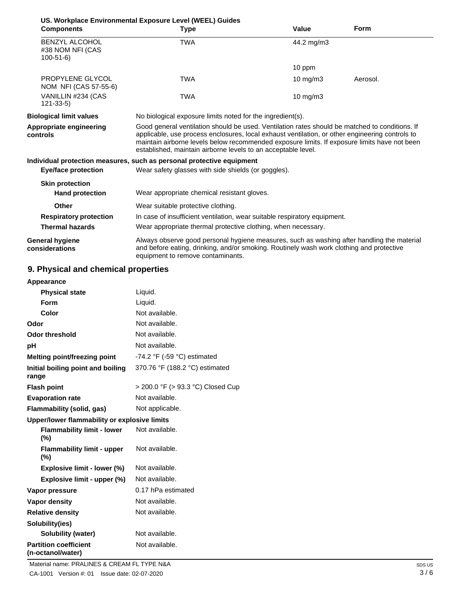|                                                             | US. Workplace Environmental Exposure Level (WEEL) Guides                                                                                                                                                                                                                                                                                                           |                                                               |             |  |
|-------------------------------------------------------------|--------------------------------------------------------------------------------------------------------------------------------------------------------------------------------------------------------------------------------------------------------------------------------------------------------------------------------------------------------------------|---------------------------------------------------------------|-------------|--|
| <b>Components</b>                                           | Type                                                                                                                                                                                                                                                                                                                                                               | Value                                                         | <b>Form</b> |  |
| <b>BENZYL ALCOHOL</b><br>#38 NOM NFI (CAS<br>$100 - 51 - 6$ | <b>TWA</b>                                                                                                                                                                                                                                                                                                                                                         | 44.2 mg/m3                                                    |             |  |
|                                                             |                                                                                                                                                                                                                                                                                                                                                                    | 10 ppm                                                        |             |  |
| PROPYLENE GLYCOL<br>NOM NFI (CAS 57-55-6)                   | TWA                                                                                                                                                                                                                                                                                                                                                                | 10 mg/m3                                                      | Aerosol.    |  |
| VANILLIN #234 (CAS<br>$121 - 33 - 5$                        | <b>TWA</b>                                                                                                                                                                                                                                                                                                                                                         | $10 \text{ mg/m}$                                             |             |  |
| <b>Biological limit values</b>                              | No biological exposure limits noted for the ingredient(s).                                                                                                                                                                                                                                                                                                         |                                                               |             |  |
| Appropriate engineering<br>controls                         | Good general ventilation should be used. Ventilation rates should be matched to conditions. If<br>applicable, use process enclosures, local exhaust ventilation, or other engineering controls to<br>maintain airborne levels below recommended exposure limits. If exposure limits have not been<br>established, maintain airborne levels to an acceptable level. |                                                               |             |  |
|                                                             | Individual protection measures, such as personal protective equipment                                                                                                                                                                                                                                                                                              |                                                               |             |  |
| Eye/face protection                                         | Wear safety glasses with side shields (or goggles).                                                                                                                                                                                                                                                                                                                |                                                               |             |  |
| <b>Skin protection</b>                                      |                                                                                                                                                                                                                                                                                                                                                                    |                                                               |             |  |
| <b>Hand protection</b>                                      | Wear appropriate chemical resistant gloves.                                                                                                                                                                                                                                                                                                                        |                                                               |             |  |
| Other                                                       | Wear suitable protective clothing.                                                                                                                                                                                                                                                                                                                                 |                                                               |             |  |
| <b>Respiratory protection</b>                               | In case of insufficient ventilation, wear suitable respiratory equipment.                                                                                                                                                                                                                                                                                          |                                                               |             |  |
| <b>Thermal hazards</b>                                      |                                                                                                                                                                                                                                                                                                                                                                    | Wear appropriate thermal protective clothing, when necessary. |             |  |
| General hygiene<br>considerations                           | Always observe good personal hygiene measures, such as washing after handling the material<br>and before eating, drinking, and/or smoking. Routinely wash work clothing and protective<br>equipment to remove contaminants.                                                                                                                                        |                                                               |             |  |

# **9. Physical and chemical properties**

| Appearance                                        |                                               |
|---------------------------------------------------|-----------------------------------------------|
| <b>Physical state</b>                             | Liquid.                                       |
| Form                                              | Liquid.                                       |
| Color                                             | Not available.                                |
| Odor                                              | Not available.                                |
| <b>Odor threshold</b>                             | Not available.                                |
| рH                                                | Not available.                                |
| Melting point/freezing point                      | -74.2 $\degree$ F (-59 $\degree$ C) estimated |
| Initial boiling point and boiling<br>range        | 370.76 °F (188.2 °C) estimated                |
| <b>Flash point</b>                                | > 200.0 °F (> 93.3 °C) Closed Cup             |
| <b>Evaporation rate</b>                           | Not available.                                |
| Flammability (solid, gas)                         | Not applicable.                               |
| Upper/lower flammability or explosive limits      |                                               |
| <b>Flammability limit - lower</b><br>$(\% )$      | Not available.                                |
| <b>Flammability limit - upper</b><br>(%)          | Not available.                                |
| Explosive limit - lower (%)                       | Not available.                                |
| Explosive limit - upper (%)                       | Not available.                                |
| Vapor pressure                                    | 0.17 hPa estimated                            |
| Vapor density                                     | Not available.                                |
| <b>Relative density</b>                           | Not available.                                |
| Solubility(ies)                                   |                                               |
| Solubility (water)                                | Not available.                                |
| <b>Partition coefficient</b><br>(n-octanol/water) | Not available.                                |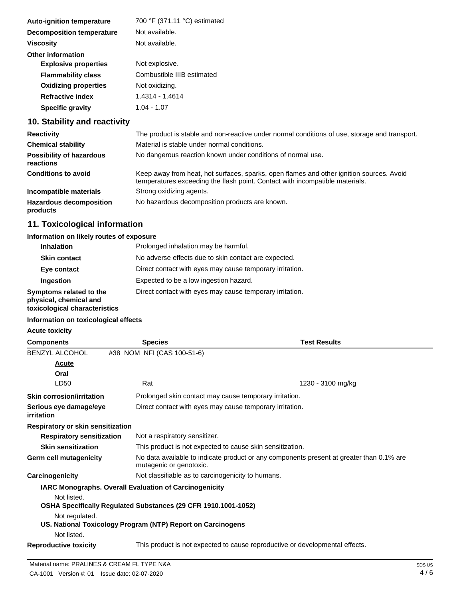| <b>Auto-ignition temperature</b> | 700 °F (371.11 °C) estimated |
|----------------------------------|------------------------------|
| <b>Decomposition temperature</b> | Not available.               |
| <b>Viscosity</b>                 | Not available.               |
| <b>Other information</b>         |                              |
| <b>Explosive properties</b>      | Not explosive.               |
| <b>Flammability class</b>        | Combustible IIIB estimated   |
| <b>Oxidizing properties</b>      | Not oxidizing.               |
| <b>Refractive index</b>          | 1.4314 - 1.4614              |
| <b>Specific gravity</b>          | $1.04 - 1.07$                |
|                                  |                              |

# **10. Stability and reactivity**

| <b>Reactivity</b>                            | The product is stable and non-reactive under normal conditions of use, storage and transport.                                                                            |
|----------------------------------------------|--------------------------------------------------------------------------------------------------------------------------------------------------------------------------|
| <b>Chemical stability</b>                    | Material is stable under normal conditions.                                                                                                                              |
| <b>Possibility of hazardous</b><br>reactions | No dangerous reaction known under conditions of normal use.                                                                                                              |
| <b>Conditions to avoid</b>                   | Keep away from heat, hot surfaces, sparks, open flames and other ignition sources. Avoid<br>temperatures exceeding the flash point. Contact with incompatible materials. |
| Incompatible materials                       | Strong oxidizing agents.                                                                                                                                                 |
| <b>Hazardous decomposition</b><br>products   | No hazardous decomposition products are known.                                                                                                                           |

# **11. Toxicological information**

### **Information on likely routes of exposure**

| <b>Inhalation</b>                                                                  | Prolonged inhalation may be harmful.                     |
|------------------------------------------------------------------------------------|----------------------------------------------------------|
| <b>Skin contact</b>                                                                | No adverse effects due to skin contact are expected.     |
| Eye contact                                                                        | Direct contact with eyes may cause temporary irritation. |
| Ingestion                                                                          | Expected to be a low ingestion hazard.                   |
| Symptoms related to the<br>physical, chemical and<br>toxicological characteristics | Direct contact with eyes may cause temporary irritation. |

# **Information on toxicological effects**

**Acute toxicity**

| <b>Components</b>                    | <b>Species</b>                                                 | <b>Test Results</b>                                                                      |  |
|--------------------------------------|----------------------------------------------------------------|------------------------------------------------------------------------------------------|--|
| <b>BENZYL ALCOHOL</b>                | #38 NOM NFI (CAS 100-51-6)                                     |                                                                                          |  |
| Acute                                |                                                                |                                                                                          |  |
| Oral                                 |                                                                |                                                                                          |  |
| LD50                                 | Rat                                                            | 1230 - 3100 mg/kg                                                                        |  |
| <b>Skin corrosion/irritation</b>     |                                                                | Prolonged skin contact may cause temporary irritation.                                   |  |
| Serious eye damage/eye<br>irritation |                                                                | Direct contact with eyes may cause temporary irritation.                                 |  |
| Respiratory or skin sensitization    |                                                                |                                                                                          |  |
| <b>Respiratory sensitization</b>     | Not a respiratory sensitizer.                                  |                                                                                          |  |
| <b>Skin sensitization</b>            |                                                                | This product is not expected to cause skin sensitization.                                |  |
| Germ cell mutagenicity               | mutagenic or genotoxic.                                        | No data available to indicate product or any components present at greater than 0.1% are |  |
| Carcinogenicity                      |                                                                | Not classifiable as to carcinogenicity to humans.                                        |  |
|                                      | <b>IARC Monographs. Overall Evaluation of Carcinogenicity</b>  |                                                                                          |  |
| Not listed.                          |                                                                |                                                                                          |  |
|                                      | OSHA Specifically Regulated Substances (29 CFR 1910.1001-1052) |                                                                                          |  |
| Not regulated.                       |                                                                |                                                                                          |  |
|                                      | US. National Toxicology Program (NTP) Report on Carcinogens    |                                                                                          |  |
| Not listed.                          |                                                                |                                                                                          |  |
| <b>Reproductive toxicity</b>         |                                                                | This product is not expected to cause reproductive or developmental effects.             |  |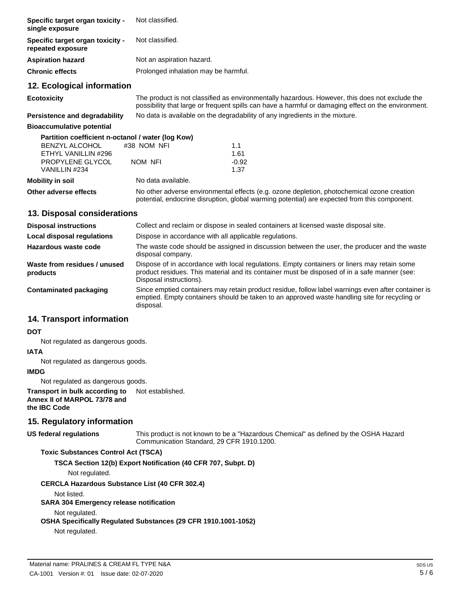| <b>Specific target organ toxicity -</b><br>single exposure   | Not classified.                                                                                                                                                                                       |         |  |
|--------------------------------------------------------------|-------------------------------------------------------------------------------------------------------------------------------------------------------------------------------------------------------|---------|--|
| <b>Specific target organ toxicity -</b><br>repeated exposure | Not classified.                                                                                                                                                                                       |         |  |
| Aspiration hazard                                            | Not an aspiration hazard.                                                                                                                                                                             |         |  |
| Chronic effects                                              | Prolonged inhalation may be harmful.                                                                                                                                                                  |         |  |
| 12. Ecological information                                   |                                                                                                                                                                                                       |         |  |
| Ecotoxicity                                                  | The product is not classified as environmentally hazardous. However, this does not exclude the<br>possibility that large or frequent spills can have a harmful or damaging effect on the environment. |         |  |
| <b>Persistence and degradability</b>                         | No data is available on the degradability of any ingredients in the mixture.                                                                                                                          |         |  |
| <b>Bioaccumulative potential</b>                             |                                                                                                                                                                                                       |         |  |
| Partition coefficient n-octanol / water (log Kow)            |                                                                                                                                                                                                       |         |  |
| <b>BENZYL ALCOHOL</b>                                        | #38 NOM NFI                                                                                                                                                                                           | 1.1     |  |
| ETHYL VANILLIN #296                                          |                                                                                                                                                                                                       | 1.61    |  |
| <b>PROPYLENE GLYCOL</b>                                      | NOM NFI                                                                                                                                                                                               | $-0.92$ |  |
| VANILLIN #234                                                |                                                                                                                                                                                                       | 1.37    |  |
| Mobility in soil                                             | No data available.                                                                                                                                                                                    |         |  |
| Other adverse effects                                        | No other adverse environmental effects (e.g. ozone depletion, photochemical ozone creation<br>potential, endocrine disruption, global warming potential) are expected from this component.            |         |  |
| 13. Disposal considerations                                  |                                                                                                                                                                                                       |         |  |

| <b>Disposal instructions</b>             | Collect and reclaim or dispose in sealed containers at licensed waste disposal site.                                                                                                                                   |  |  |
|------------------------------------------|------------------------------------------------------------------------------------------------------------------------------------------------------------------------------------------------------------------------|--|--|
| Local disposal regulations               | Dispose in accordance with all applicable regulations.                                                                                                                                                                 |  |  |
| Hazardous waste code                     | The waste code should be assigned in discussion between the user, the producer and the waste<br>disposal company.                                                                                                      |  |  |
| Waste from residues / unused<br>products | Dispose of in accordance with local regulations. Empty containers or liners may retain some<br>product residues. This material and its container must be disposed of in a safe manner (see:<br>Disposal instructions). |  |  |
| Contaminated packaging                   | Since emptied containers may retain product residue, follow label warnings even after container is<br>emptied. Empty containers should be taken to an approved waste handling site for recycling or<br>disposal.       |  |  |

# **14. Transport information**

#### **DOT**

Not regulated as dangerous goods.

### **IATA**

Not regulated as dangerous goods.

### **IMDG**

Not regulated as dangerous goods.

**Transport in bulk according to Annex II of MARPOL 73/78 and the IBC Code** Not established.

### **15. Regulatory information**

### **US federal regulations**

This product is not known to be a "Hazardous Chemical" as defined by the OSHA Hazard Communication Standard, 29 CFR 1910.1200.

#### **Toxic Substances Control Act (TSCA)**

**TSCA Section 12(b) Export Notification (40 CFR 707, Subpt. D)**

Not regulated.

**CERCLA Hazardous Substance List (40 CFR 302.4)**

Not listed.

**SARA 304 Emergency release notification**

Not regulated.

**OSHA Specifically Regulated Substances (29 CFR 1910.1001-1052)**

Not regulated.